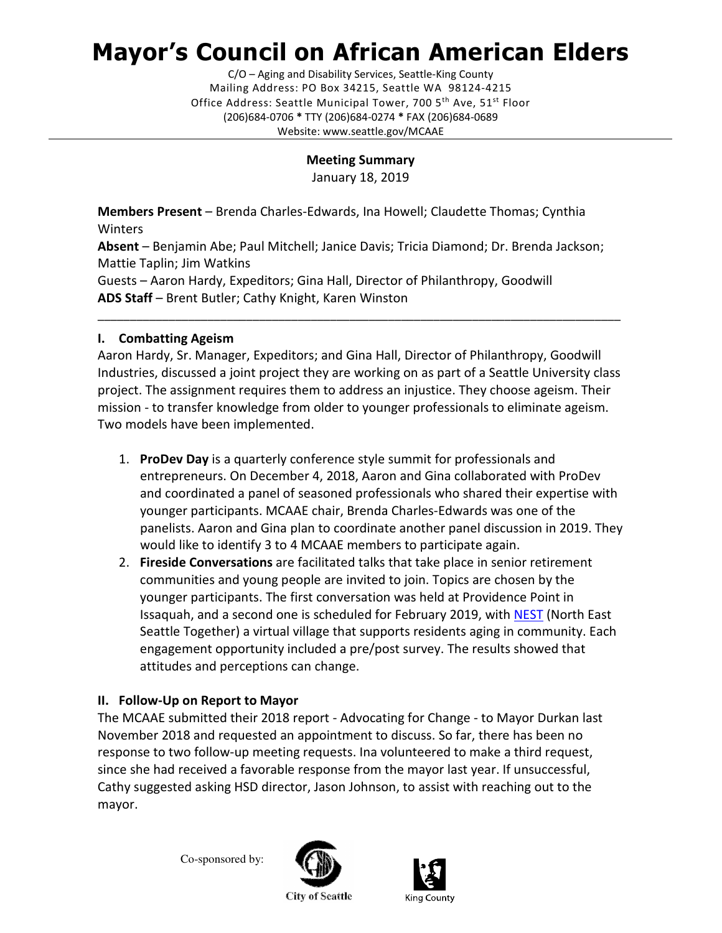# Mayor's Council on African American Elders

C/O – Aging and Disability Services, Seattle-King County Mailing Address: PO Box 34215, Seattle WA 98124-4215 Office Address: Seattle Municipal Tower, 700 5<sup>th</sup> Ave, 51<sup>st</sup> Floor (206)684-0706 \* TTY (206)684-0274 \* FAX (206)684-0689 Website: www.seattle.gov/MCAAE

## Meeting Summary

January 18, 2019

Members Present – Brenda Charles-Edwards, Ina Howell; Claudette Thomas; Cynthia **Winters** 

Absent – Benjamin Abe; Paul Mitchell; Janice Davis; Tricia Diamond; Dr. Brenda Jackson; Mattie Taplin; Jim Watkins

Guests – Aaron Hardy, Expeditors; Gina Hall, Director of Philanthropy, Goodwill ADS Staff – Brent Butler; Cathy Knight, Karen Winston

## I. Combatting Ageism

Aaron Hardy, Sr. Manager, Expeditors; and Gina Hall, Director of Philanthropy, Goodwill Industries, discussed a joint project they are working on as part of a Seattle University class project. The assignment requires them to address an injustice. They choose ageism. Their mission - to transfer knowledge from older to younger professionals to eliminate ageism. Two models have been implemented.

\_\_\_\_\_\_\_\_\_\_\_\_\_\_\_\_\_\_\_\_\_\_\_\_\_\_\_\_\_\_\_\_\_\_\_\_\_\_\_\_\_\_\_\_\_\_\_\_\_\_\_\_\_\_\_\_\_\_\_\_\_\_\_\_\_\_\_\_\_\_\_\_\_\_\_\_\_\_\_\_\_

- 1. ProDev Day is a quarterly conference style summit for professionals and entrepreneurs. On December 4, 2018, Aaron and Gina collaborated with ProDev and coordinated a panel of seasoned professionals who shared their expertise with younger participants. MCAAE chair, Brenda Charles-Edwards was one of the panelists. Aaron and Gina plan to coordinate another panel discussion in 2019. They would like to identify 3 to 4 MCAAE members to participate again.
- 2. Fireside Conversations are facilitated talks that take place in senior retirement communities and young people are invited to join. Topics are chosen by the younger participants. The first conversation was held at Providence Point in Issaquah, and a second one is scheduled for February 2019, with NEST (North East Seattle Together) a virtual village that supports residents aging in community. Each engagement opportunity included a pre/post survey. The results showed that attitudes and perceptions can change.

# II. Follow-Up on Report to Mayor

The MCAAE submitted their 2018 report - Advocating for Change - to Mayor Durkan last November 2018 and requested an appointment to discuss. So far, there has been no response to two follow-up meeting requests. Ina volunteered to make a third request, since she had received a favorable response from the mayor last year. If unsuccessful, Cathy suggested asking HSD director, Jason Johnson, to assist with reaching out to the mayor.

Co-sponsored by:





**City of Seattle**